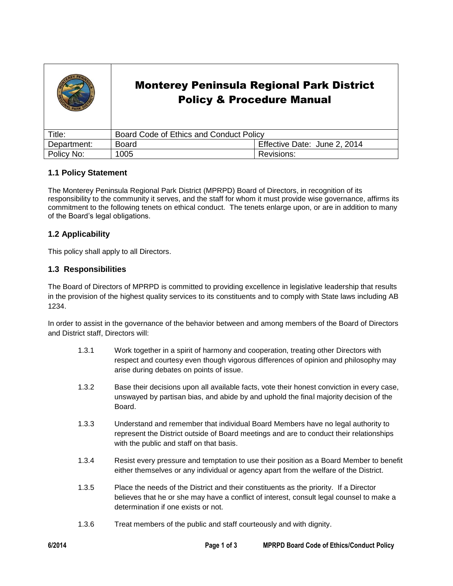|             | <b>Monterey Peninsula Regional Park District</b><br><b>Policy &amp; Procedure Manual</b> |                              |
|-------------|------------------------------------------------------------------------------------------|------------------------------|
| Title:      | Board Code of Ethics and Conduct Policy                                                  |                              |
| Department: | <b>Board</b>                                                                             | Effective Date: June 2, 2014 |
| Policy No:  | 1005                                                                                     | Revisions:                   |

# **1.1 Policy Statement**

The Monterey Peninsula Regional Park District (MPRPD) Board of Directors, in recognition of its responsibility to the community it serves, and the staff for whom it must provide wise governance, affirms its commitment to the following tenets on ethical conduct. The tenets enlarge upon, or are in addition to many of the Board's legal obligations.

# **1.2 Applicability**

This policy shall apply to all Directors.

### **1.3 Responsibilities**

The Board of Directors of MPRPD is committed to providing excellence in legislative leadership that results in the provision of the highest quality services to its constituents and to comply with State laws including AB 1234.

In order to assist in the governance of the behavior between and among members of the Board of Directors and District staff, Directors will:

- 1.3.1 Work together in a spirit of harmony and cooperation, treating other Directors with respect and courtesy even though vigorous differences of opinion and philosophy may arise during debates on points of issue.
- 1.3.2 Base their decisions upon all available facts, vote their honest conviction in every case, unswayed by partisan bias, and abide by and uphold the final majority decision of the Board.
- 1.3.3 Understand and remember that individual Board Members have no legal authority to represent the District outside of Board meetings and are to conduct their relationships with the public and staff on that basis.
- 1.3.4 Resist every pressure and temptation to use their position as a Board Member to benefit either themselves or any individual or agency apart from the welfare of the District.
- 1.3.5 Place the needs of the District and their constituents as the priority. If a Director believes that he or she may have a conflict of interest, consult legal counsel to make a determination if one exists or not.
- 1.3.6 Treat members of the public and staff courteously and with dignity.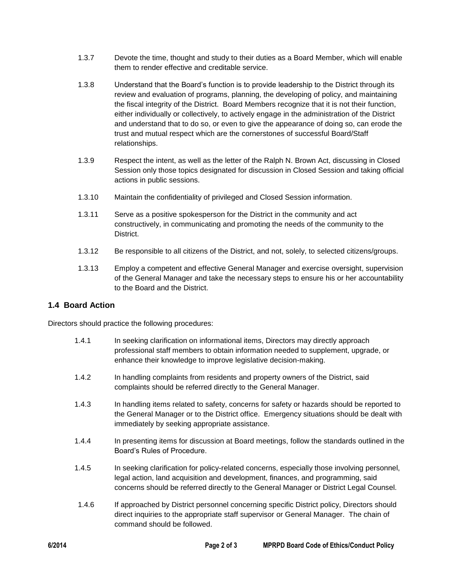- 1.3.7 Devote the time, thought and study to their duties as a Board Member, which will enable them to render effective and creditable service.
- 1.3.8 Understand that the Board's function is to provide leadership to the District through its review and evaluation of programs, planning, the developing of policy, and maintaining the fiscal integrity of the District. Board Members recognize that it is not their function, either individually or collectively, to actively engage in the administration of the District and understand that to do so, or even to give the appearance of doing so, can erode the trust and mutual respect which are the cornerstones of successful Board/Staff relationships.
- 1.3.9 Respect the intent, as well as the letter of the Ralph N. Brown Act, discussing in Closed Session only those topics designated for discussion in Closed Session and taking official actions in public sessions.
- 1.3.10 Maintain the confidentiality of privileged and Closed Session information.
- 1.3.11 Serve as a positive spokesperson for the District in the community and act constructively, in communicating and promoting the needs of the community to the District.
- 1.3.12 Be responsible to all citizens of the District, and not, solely, to selected citizens/groups.
- 1.3.13 Employ a competent and effective General Manager and exercise oversight, supervision of the General Manager and take the necessary steps to ensure his or her accountability to the Board and the District.

# **1.4 Board Action**

Directors should practice the following procedures:

| 1.4.1 | In seeking clarification on informational items, Directors may directly approach<br>professional staff members to obtain information needed to supplement, upgrade, or<br>enhance their knowledge to improve legislative decision-making. |  |
|-------|-------------------------------------------------------------------------------------------------------------------------------------------------------------------------------------------------------------------------------------------|--|
| $112$ | In bandling complaints from residents and property owners of the District said                                                                                                                                                            |  |

- 1.4.2 In handling complaints from residents and property owners of the District, said complaints should be referred directly to the General Manager.
- 1.4.3 In handling items related to safety, concerns for safety or hazards should be reported to the General Manager or to the District office. Emergency situations should be dealt with immediately by seeking appropriate assistance.
- 1.4.4 In presenting items for discussion at Board meetings, follow the standards outlined in the Board's Rules of Procedure.
- 1.4.5 In seeking clarification for policy-related concerns, especially those involving personnel, legal action, land acquisition and development, finances, and programming, said concerns should be referred directly to the General Manager or District Legal Counsel.
- 1.4.6 If approached by District personnel concerning specific District policy, Directors should direct inquiries to the appropriate staff supervisor or General Manager. The chain of command should be followed.